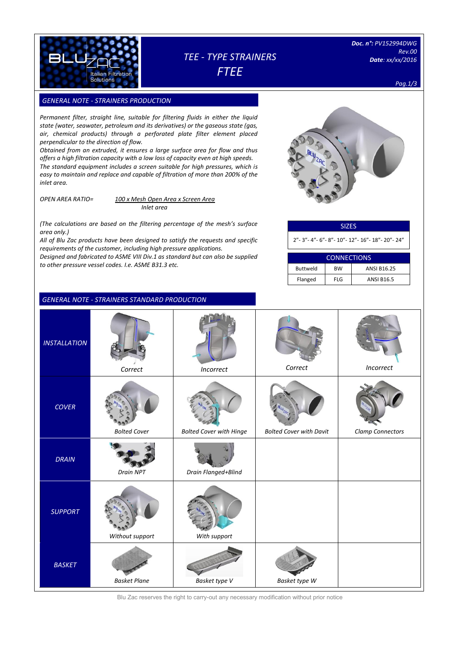

# *TEE - TYPE STRAINERS FTEE*

*Doc. n°: PV152994DWG Rev.00 Date: xx/xx/2016*

*Pag.1/3*

## **GENERAL NOTE - STRAINERS PRODUCTION**

*Permanent filter, straight line, suitable for filtering fluids in either the liquid state (water, seawater, petroleum and its derivatives) or the gaseous state (gas, air, chemical products) through a perforated plate filter element placed perpendicular to the direction of flow.*

*Obtained from an extruded, it ensures a large surface area for flow and thus offers a high filtration capacity with a low loss of capacity even at high speeds. The standard equipment includes a screen suitable for high pressures, which is easy to maintain and replace and capable of filtration of more than 200% of the inlet area.*

*OPEN AREA RATIO= 100 x Mesh Open Area x Screen Area Inlet area*

*(The calculations are based on the filtering percentage of the mesh's surface area only.)*

*All of Blu Zac products have been designed to satisfy the requests and specific requirements of the customer, including high pressure applications.* 

*Designed and fabricated to ASME VIII Div.1 as standard but can also be supplied to other pressure vessel codes. I.e. ASME B31.3 etc.*

|  | <b>GENERAL NOTE - STRAINERS STANDARD PRODUCTION</b> |
|--|-----------------------------------------------------|
|--|-----------------------------------------------------|

| $B_{11}$<br>$\zeta_{\mathsf{A}}$ |
|----------------------------------|
|                                  |
|                                  |

| <b>SIZES</b>                           |
|----------------------------------------|
| 2"-3"-4"-6"-8"-10"-12"-16"-18"-20"-24" |

| <b>CONNECTIONS</b> |            |                    |  |  |  |  |  |
|--------------------|------------|--------------------|--|--|--|--|--|
| <b>Buttweld</b>    | <b>BW</b>  | <b>ANSI B16.25</b> |  |  |  |  |  |
| Flanged            | <b>FLG</b> | <b>ANSI B16.5</b>  |  |  |  |  |  |

| <b>INSTALLATION</b> | Correct             | Incorrect                      | Correct                        | Incorrect        |
|---------------------|---------------------|--------------------------------|--------------------------------|------------------|
| <b>COVER</b>        | <b>Bolted Cover</b> | <b>Bolted Cover with Hinge</b> | <b>Bolted Cover with Davit</b> | Clamp Connectors |
| <b>DRAIN</b>        | Drain NPT           | Drain Flanged+Blind            |                                |                  |
| <b>SUPPORT</b>      | Without support     | With support                   |                                |                  |
| <b>BASKET</b>       | <b>Basket Plane</b> | Basket type V                  | Basket type W                  |                  |

Blu Zac reserves the right to carry-out any necessary modification without prior notice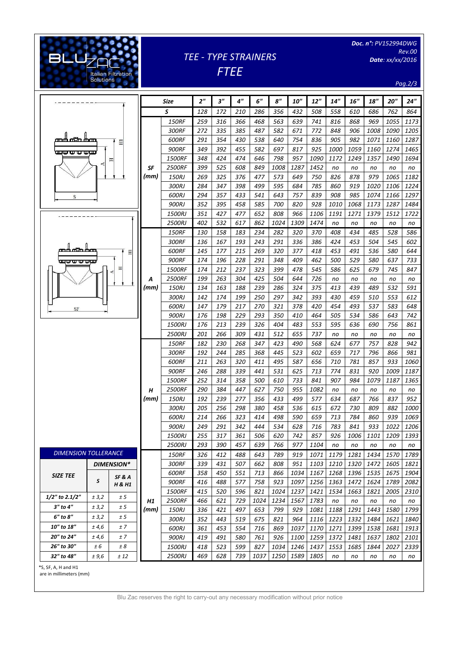*Doc. n°: PV152994DWG Rev.00* 

*Date: xx/xx/2016*

*TEE - TYPE STRAINERS*

*FTEE*

*Pag.2/3*

|                                                         |      | Size                    | 2 <sup>''</sup> | 3"         | 4 <sup>''</sup> | 6"          | $s$ "        | <b>10"</b>   | 12"          | 14"        | <b>16"</b> | 18"        | 20"        | 24"         |
|---------------------------------------------------------|------|-------------------------|-----------------|------------|-----------------|-------------|--------------|--------------|--------------|------------|------------|------------|------------|-------------|
|                                                         |      | S                       | 128             | 172        | 210             | 286         | 356          | 432          | 508          | 558        | 610        | 686        | 762        | 864         |
|                                                         |      | <b>150RF</b>            | 259             | 316        | 366             | 468         | 563          | 639          | 741          | 816        | 868        | 969        | 1055       | 1173        |
|                                                         |      | 300RF                   | 272             | 335        | 385             | 487         | 582          | 671          | 772          | 848        | 906        | 1008       | 1090       | 1205        |
|                                                         |      | 600RF                   | 291             | 354        | 430             | 538         | 640          | 754          | 836          | 905        | 982        | 1071       | 1160       | 1287        |
| 日                                                       |      | 900RF                   | 349             | 392        | 455             | 582         | 697          | 817          | 925          | 1000       | 1059       | 1160       | 1274       | 1465        |
| wwwww                                                   | SF   | 1500RF                  | 348             | 424        | 474             | 646         | 798          | 957          | 1090         | 1172       | 1249       | 1357       | 1490       | 1694        |
| 프                                                       |      | 2500RF                  | 399             | 525        | 608             | 849         | 1008         | 1287         | 1452         | no         | no         | no         | no         | no          |
|                                                         | (mm) | 150RJ                   | 269             | 325        | 376             | 477         | 573          | 649          | 750          | 826        | 878        | 979        | 1065       | 1182        |
|                                                         |      | 300RJ                   | 284             | 347        | 398             | 499         | 595          | 684          | 785          | 860        | 919        | 1020       | 1106       | 1224        |
| S                                                       |      | 600RJ                   | 294             | 357        | 433             | 541         | 643          | 757          | 839          | 908        | 985        | 1074       | 1166       | 1297        |
|                                                         |      | 900RJ                   | 352             | 395        | 458             | 585         | 700          | 820          | 928          | 1010       | 1068       | 1173       | 1287       | 1484        |
|                                                         |      | 1500RJ                  | 351             | 427        | 477             | 652         | 808          | 966          | 1106         | 1191       | 1271       | 1379       | 1512       | 1722        |
|                                                         |      | 2500RJ                  | 402             | 532        | 617             | 862         | 1024         | 1309         | 1474         | no         | no         | no         | no         | no          |
|                                                         |      | <b>150RF</b>            | 130             | 158        | 183             | 234         | 282          | 320          | 370          | 408        | 434        | 485        | 528        | 586         |
|                                                         |      | 300RF                   | 136             | 167        | 193             | 243         | 291          | 336          | 386          | 424        | 453        | 504        | 545        | 602         |
| තර යයි රාග<br>Ξ                                         |      | 600RF                   | 145             | 177        | 215             | 269         | 320          | 377          | 418          | 453        | 491        | 536        | 580        | 644         |
| <del>wo u u uw</del>                                    |      | <b>900RF</b>            | 174             | 196        | 228             | 291         | 348          | 409          | 462          | 500        | 529        | 580        | 637        | 733         |
| E                                                       |      | 1500RF                  | 174             | 212        | 237             | 323         | 399          | 478          | 545          | 586        | 625        | 679        | 745        | 847         |
|                                                         | Α    | <b>2500RF</b>           | 199             | 263        | 304             | 425         | 504          | 644          | 726          | no         | no         | no         | no         | no          |
|                                                         | (mm) | 150RJ                   | 134             | 163        | 188             | 239         | 286          | 324          | 375          | 413        | 439        | 489        | 532        | 591         |
|                                                         |      | 300RJ                   | 142             | 174        | 199             | 250         | 297          | 342          | 393          | 430        | 459        | 510        | 553        | 612         |
|                                                         |      | 600RJ                   | 147             | 179        | 217             | 270         | 321          | 378          | 420          | 454        | 493        | 537        | 583        | 648         |
| $\rm SF$                                                |      | 900RJ                   | 176             | 198        | 229             | 293         | 350          | 410          | 464          | 505        | 534        | 586        | 643        | 742         |
|                                                         |      | 1500RJ                  | 176             | 213        | 239             | 326         | 404          | 483          | 553          | 595        | 636        | 690        | 756        | 861         |
|                                                         |      | 2500RJ                  | 201             | 266        | 309             | 431         | 512          | 655          | 737          | no         | no         | no         | no         | no          |
|                                                         |      | <b>150RF</b>            | 182             | 230        | 268             | 347         | 423          | 490          | 568          | 624        | 677        | 757        | 828        | 942         |
|                                                         |      | 300RF                   | 192             | 244        | 285             | 368         | 445          | 523          | 602          | 659        | 717        | 796        | 866        | 981         |
|                                                         |      | 600RF                   | 211             | 263        | 320             | 411         | 495          | 587          | 656          | 710        | 781        | 857        | 933        | <i>1060</i> |
|                                                         |      | <b>900RF</b>            | 246             | 288        | 339             | 441         | 531          | 625          | 713          | 774        | 831        | 920        | 1009       | 1187        |
|                                                         |      | 1500RF                  | 252             | 314        | 358             | <i>500</i>  | 610          | 733          | 841          | 907        | 984        | 1079       | 1187       | 1365        |
|                                                         | Н    | <b>2500RF</b>           | 290             | 384        | 447             | 627         | 750          | 955          | 1082         | no         | no         | no         | no         | no          |
|                                                         | (mm) | 150RJ                   | 192             | 239        | 277             | 356         | 433          | 499          | 577          | 634        | 687        | 766        | 837        | 952         |
|                                                         |      | 300RJ                   | 205             | 256        | 298             | 380         | 458          | 536          | 615          | 672        | 730        | 809        | 882        | 1000        |
|                                                         |      | 600RJ                   | 214             | 266        | 323             | 414         | 498          | 590          | 659          | 713        | 784        | 860        | 939        | 1069        |
|                                                         |      | 900RJ                   | 249             | 291        | 342             | 444         | 534          | 628          | 716          | 783        | 841        | 933        | 1022       | 1206        |
|                                                         |      | 1500RJ                  | 255             | 317        | 361             | 506         | 620          | 742          | 857          | 926        | 1006       | 1101       | 1209       | 1393        |
|                                                         |      | <b>2500RJ</b>           | 293             | 390        | 457             | 639         | 766          | 977          | 1104         | no         | no         | no         | no         | no          |
| <b>DIMENSION TOLLERANCE</b>                             |      | <b>150RF</b>            | 326             | 412        | 488             | 643         | 789          | 919          | 1071         | 1179       | 1281       | 1434       | 1570       | 1789        |
| <b>DIMENSION*</b>                                       |      | 300RF                   | 339             | 431        | 507             | 662         | 808          | 951          | 1103         | 1210       | 1320       | 1472       | 1605       | 1821        |
| <b>SIZE TEE</b><br>SF & A                               |      | 600RF                   | 358             | 450        | 551             | 713         | 866          | 1034         | 1167         | 1268       | 1396       | 1535       | 1675       | 1904        |
| S<br>H & H1                                             |      | 900RF                   | 416             | 488        | 577             | 758         | 923          | 1097         | 1256         | 1363       | 1472       | 1624       | 1789       | 2082        |
| 1/2" to 2.1/2"<br>± 5<br>± 3,2                          |      | <b>1500RF</b>           | 415             | 520        | 596             | 821         | 1024         | 1237         | 1421         | 1534       | 1663       | 1821       | 2005       | 2310        |
| 3" to 4"<br>± 5                                         | H1   | <i>2500RF</i>           | 466             | 621        | 729             | 1024        | 1234         | 1567         | 1783         | no         | no         | no         | no         | no          |
| ± 3,2                                                   | (mm) | 150RJ                   | 336             | 421        | 497             | 653         | 799          | 929          | 1081         | 1188       | 1291       | 1443       | 1580       | 1799        |
|                                                         |      |                         |                 |            | 519             | 675         | 821          | 964          | 1116         | 1223       | 1332       | 1484       | 1621       | 1840        |
| 6" to 8"<br>± 3,2<br>± 5                                |      | 300RJ                   | 352             | 443        |                 |             |              |              |              |            |            |            |            |             |
| 10" to 18"<br>± 4,6<br>±7                               |      | 600RJ                   | 361             | 453        | 554             | 716         | 869          | 1037         | 1170         | 1271       | 1399       | 1538       | 1681       | 1913        |
| 20" to 24"<br>± 4,6<br>±7                               |      | 900RJ                   | 419             | 491        | 580             | 761         | 926          | <i>1100</i>  | 1259         | 1372       | 1481       | 1637       | 1802       | 2101        |
| 26" to 30"<br>± 6<br>± 8<br>32" to 48"<br>± 9,6<br>± 12 |      | 1500RJ<br><b>2500RJ</b> | 418<br>469      | 523<br>628 | 599<br>739      | 827<br>1037 | 1034<br>1250 | 1246<br>1589 | 1437<br>1805 | 1553<br>no | 1685<br>no | 1844<br>no | 2027<br>no | 2339<br>no  |

are in millimeters (mm)

[Digitare il testo]

ILAN Filtration<br>Solutions

**BLU<sub>Z</sub>**